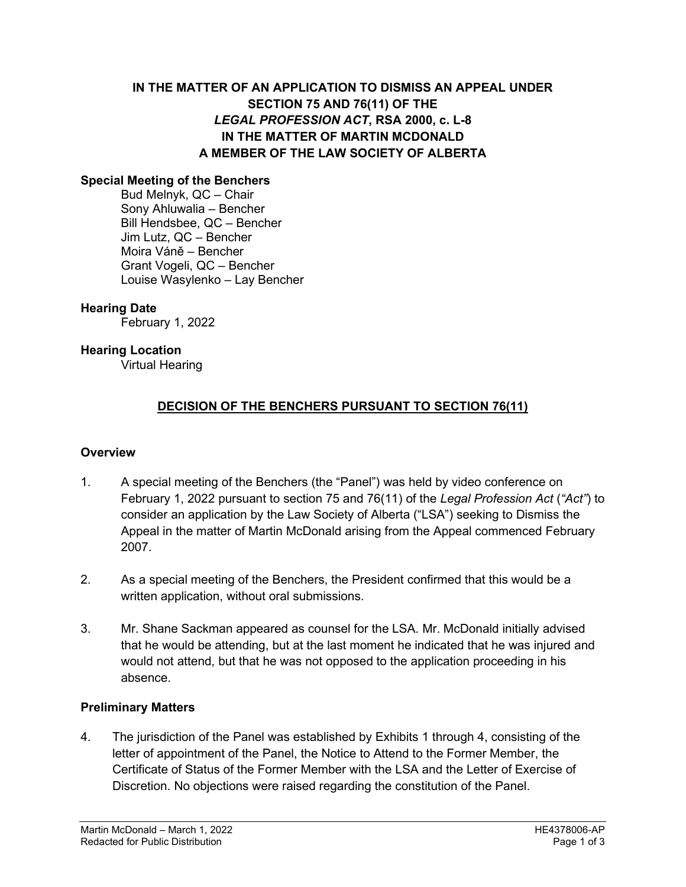# **IN THE MATTER OF AN APPLICATION TO DISMISS AN APPEAL UNDER SECTION 75 AND 76(11) OF THE**  *LEGAL PROFESSION ACT***, RSA 2000, c. L-8 IN THE MATTER OF MARTIN MCDONALD A MEMBER OF THE LAW SOCIETY OF ALBERTA**

### **Special Meeting of the Benchers**

Bud Melnyk, QC – Chair Sony Ahluwalia – Bencher Bill Hendsbee, QC – Bencher Jim Lutz, QC – Bencher Moira Váně – Bencher Grant Vogeli, QC – Bencher Louise Wasylenko – Lay Bencher

## **Hearing Date**

February 1, 2022

### **Hearing Location**

Virtual Hearing

# **DECISION OF THE BENCHERS PURSUANT TO SECTION 76(11)**

#### **Overview**

- 1. A special meeting of the Benchers (the "Panel") was held by video conference on February 1, 2022 pursuant to section 75 and 76(11) of the *Legal Profession Act* (*"Act"*) to consider an application by the Law Society of Alberta ("LSA") seeking to Dismiss the Appeal in the matter of Martin McDonald arising from the Appeal commenced February 2007.
- 2. As a special meeting of the Benchers, the President confirmed that this would be a written application, without oral submissions.
- 3. Mr. Shane Sackman appeared as counsel for the LSA. Mr. McDonald initially advised that he would be attending, but at the last moment he indicated that he was injured and would not attend, but that he was not opposed to the application proceeding in his absence.

## **Preliminary Matters**

4. The jurisdiction of the Panel was established by Exhibits 1 through 4, consisting of the letter of appointment of the Panel, the Notice to Attend to the Former Member, the Certificate of Status of the Former Member with the LSA and the Letter of Exercise of Discretion. No objections were raised regarding the constitution of the Panel.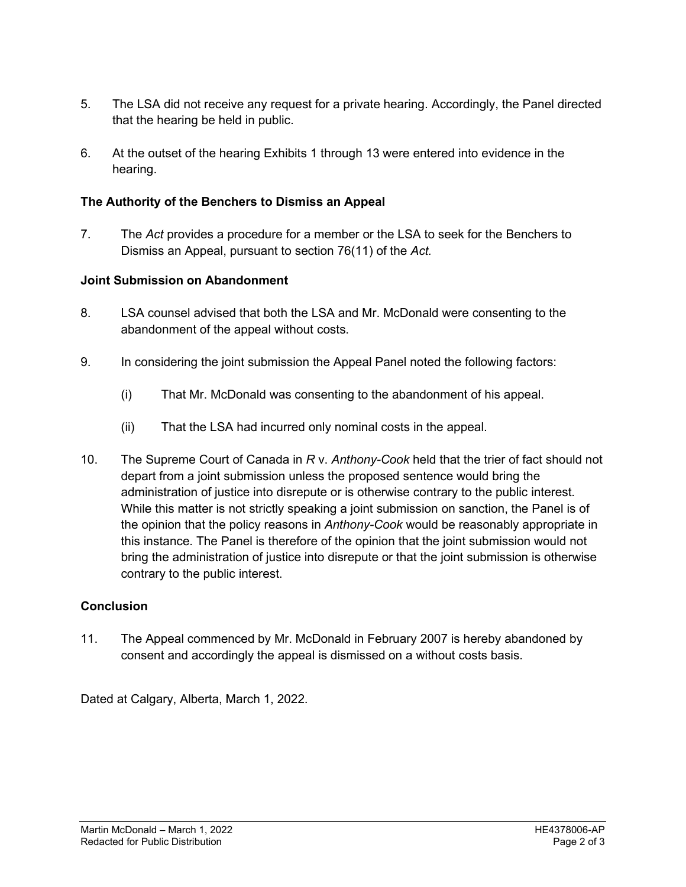- 5. The LSA did not receive any request for a private hearing. Accordingly, the Panel directed that the hearing be held in public.
- 6. At the outset of the hearing Exhibits 1 through 13 were entered into evidence in the hearing.

# **The Authority of the Benchers to Dismiss an Appeal**

7. The *Act* provides a procedure for a member or the LSA to seek for the Benchers to Dismiss an Appeal, pursuant to section 76(11) of the *Act.*

# **Joint Submission on Abandonment**

- 8. LSA counsel advised that both the LSA and Mr. McDonald were consenting to the abandonment of the appeal without costs.
- 9. In considering the joint submission the Appeal Panel noted the following factors:
	- (i) That Mr. McDonald was consenting to the abandonment of his appeal.
	- (ii) That the LSA had incurred only nominal costs in the appeal.
- 10. The Supreme Court of Canada in *R* v. *Anthony-Cook* held that the trier of fact should not depart from a joint submission unless the proposed sentence would bring the administration of justice into disrepute or is otherwise contrary to the public interest. While this matter is not strictly speaking a joint submission on sanction, the Panel is of the opinion that the policy reasons in *Anthony-Cook* would be reasonably appropriate in this instance. The Panel is therefore of the opinion that the joint submission would not bring the administration of justice into disrepute or that the joint submission is otherwise contrary to the public interest.

## **Conclusion**

11. The Appeal commenced by Mr. McDonald in February 2007 is hereby abandoned by consent and accordingly the appeal is dismissed on a without costs basis.

Dated at Calgary, Alberta, March 1, 2022.